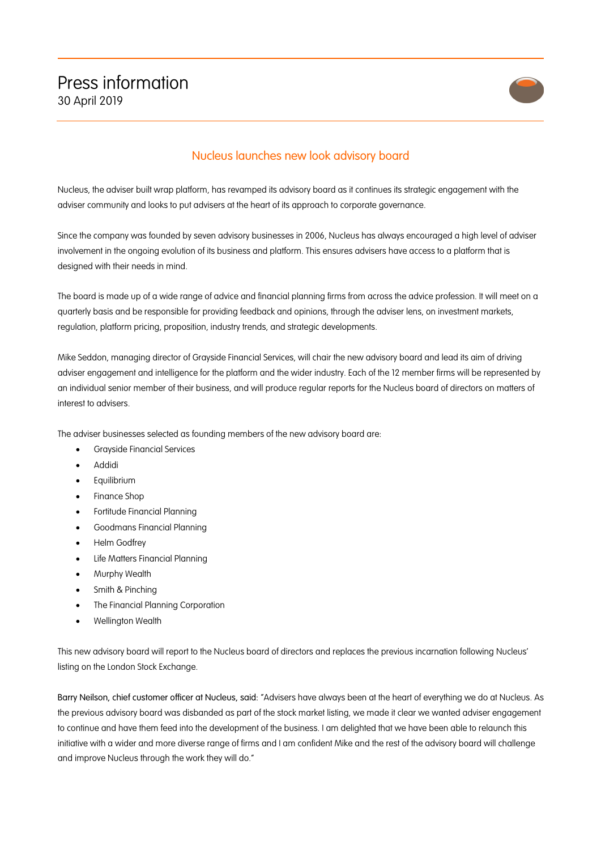

## Nucleus launches new look advisory board

Nucleus, the adviser built wrap platform, has revamped its advisory board as it continues its strategic engagement with the adviser community and looks to put advisers at the heart of its approach to corporate governance.

Since the company was founded by seven advisory businesses in 2006, Nucleus has always encouraged a high level of adviser involvement in the ongoing evolution of its business and platform. This ensures advisers have access to a platform that is designed with their needs in mind.

The board is made up of a wide range of advice and financial planning firms from across the advice profession. It will meet on a quarterly basis and be responsible for providing feedback and opinions, through the adviser lens, on investment markets, regulation, platform pricing, proposition, industry trends, and strategic developments.

Mike Seddon, managing director of Grayside Financial Services, will chair the new advisory board and lead its aim of driving adviser engagement and intelligence for the platform and the wider industry. Each of the 12 member firms will be represented by an individual senior member of their business, and will produce regular reports for the Nucleus board of directors on matters of interest to advisers.

The adviser businesses selected as founding members of the new advisory board are:

- Grayside Financial Services
- Addidi
- Equilibrium
- Finance Shop
- Fortitude Financial Planning
- Goodmans Financial Planning
- Helm Godfrey
- Life Matters Financial Planning
- Murphy Wealth
- Smith & Pinching
- The Financial Planning Corporation
- Wellington Wealth

This new advisory board will report to the Nucleus board of directors and replaces the previous incarnation following Nucleus' listing on the London Stock Exchange.

Barry Neilson, chief customer officer at Nucleus, said: "Advisers have always been at the heart of everything we do at Nucleus. As the previous advisory board was disbanded as part of the stock market listing, we made it clear we wanted adviser engagement to continue and have them feed into the development of the business. I am delighted that we have been able to relaunch this initiative with a wider and more diverse range of firms and I am confident Mike and the rest of the advisory board will challenge and improve Nucleus through the work they will do."